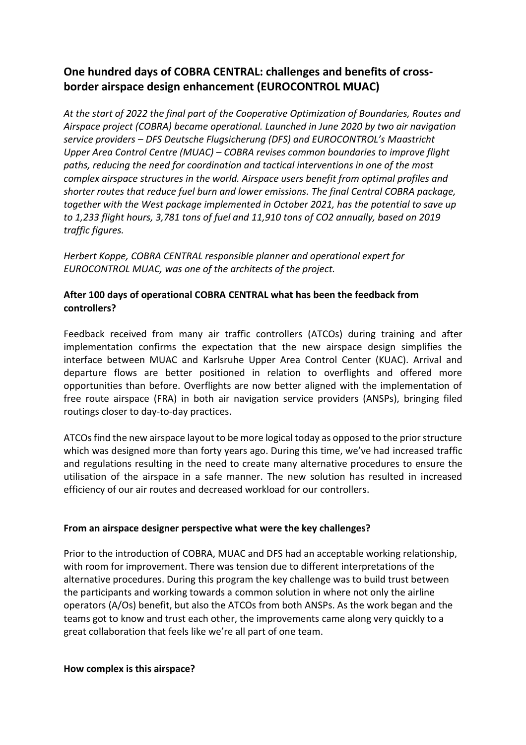# **One hundred days of COBRA CENTRAL: challenges and benefits of crossborder airspace design enhancement (EUROCONTROL MUAC)**

*At the start of 2022 the final part of the Cooperative Optimization of Boundaries, Routes and Airspace project (COBRA) became operational. Launched in June 2020 by two air navigation service providers – DFS Deutsche Flugsicherung (DFS) and EUROCONTROL's Maastricht Upper Area Control Centre (MUAC) – COBRA revises common boundaries to improve flight paths, reducing the need for coordination and tactical interventions in one of the most complex airspace structures in the world. Airspace users benefit from optimal profiles and shorter routes that reduce fuel burn and lower emissions. The final Central COBRA package, together with the West package implemented in October 2021, has the potential to save up to 1,233 flight hours, 3,781 tons of fuel and 11,910 tons of CO2 annually, based on 2019 traffic figures.*

*Herbert Koppe, COBRA CENTRAL responsible planner and operational expert for EUROCONTROL MUAC, was one of the architects of the project.*

### **After 100 days of operational COBRA CENTRAL what has been the feedback from controllers?**

Feedback received from many air traffic controllers (ATCOs) during training and after implementation confirms the expectation that the new airspace design simplifies the interface between MUAC and Karlsruhe Upper Area Control Center (KUAC). Arrival and departure flows are better positioned in relation to overflights and offered more opportunities than before. Overflights are now better aligned with the implementation of free route airspace (FRA) in both air navigation service providers (ANSPs), bringing filed routings closer to day-to-day practices.

ATCOs find the new airspace layout to be more logical today as opposed to the prior structure which was designed more than forty years ago. During this time, we've had increased traffic and regulations resulting in the need to create many alternative procedures to ensure the utilisation of the airspace in a safe manner. The new solution has resulted in increased efficiency of our air routes and decreased workload for our controllers.

#### **From an airspace designer perspective what were the key challenges?**

Prior to the introduction of COBRA, MUAC and DFS had an acceptable working relationship, with room for improvement. There was tension due to different interpretations of the alternative procedures. During this program the key challenge was to build trust between the participants and working towards a common solution in where not only the airline operators (A/Os) benefit, but also the ATCOs from both ANSPs. As the work began and the teams got to know and trust each other, the improvements came along very quickly to a great collaboration that feels like we're all part of one team.

#### **How complex is this airspace?**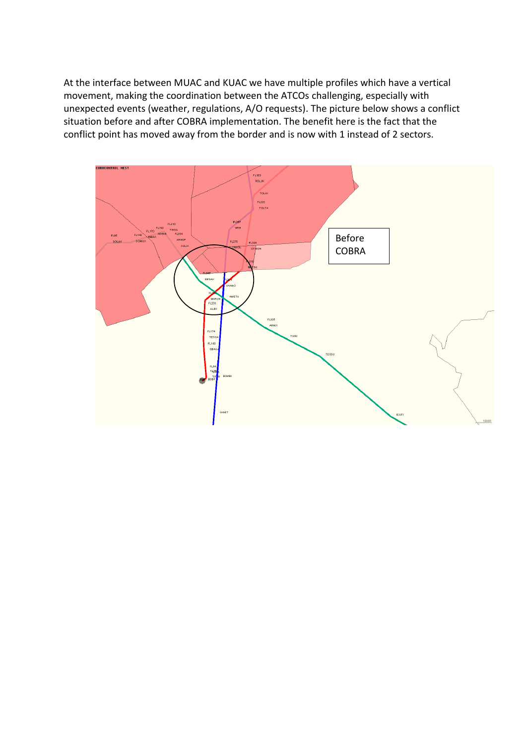At the interface between MUAC and KUAC we have multiple profiles which have a vertical movement, making the coordination between the ATCOs challenging, especially with unexpected events (weather, regulations, A/O requests). The picture below shows a conflict situation before and after COBRA implementation. The benefit here is the fact that the conflict point has moved away from the border and is now with 1 instead of 2 sectors.

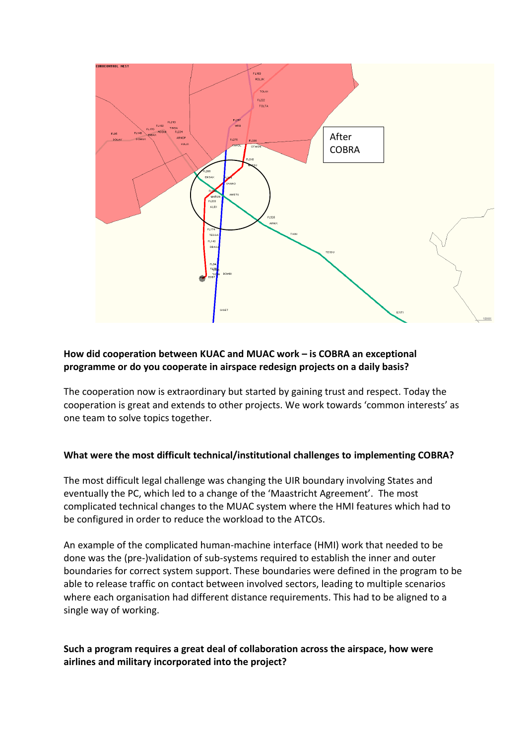

# **How did cooperation between KUAC and MUAC work – is COBRA an exceptional programme or do you cooperate in airspace redesign projects on a daily basis?**

The cooperation now is extraordinary but started by gaining trust and respect. Today the cooperation is great and extends to other projects. We work towards 'common interests' as one team to solve topics together.

#### **What were the most difficult technical/institutional challenges to implementing COBRA?**

The most difficult legal challenge was changing the UIR boundary involving States and eventually the PC, which led to a change of the 'Maastricht Agreement'. The most complicated technical changes to the MUAC system where the HMI features which had to be configured in order to reduce the workload to the ATCOs.

An example of the complicated human-machine interface (HMI) work that needed to be done was the (pre-)validation of sub-systems required to establish the inner and outer boundaries for correct system support. These boundaries were defined in the program to be able to release traffic on contact between involved sectors, leading to multiple scenarios where each organisation had different distance requirements. This had to be aligned to a single way of working.

# **Such a program requires a great deal of collaboration across the airspace, how were airlines and military incorporated into the project?**